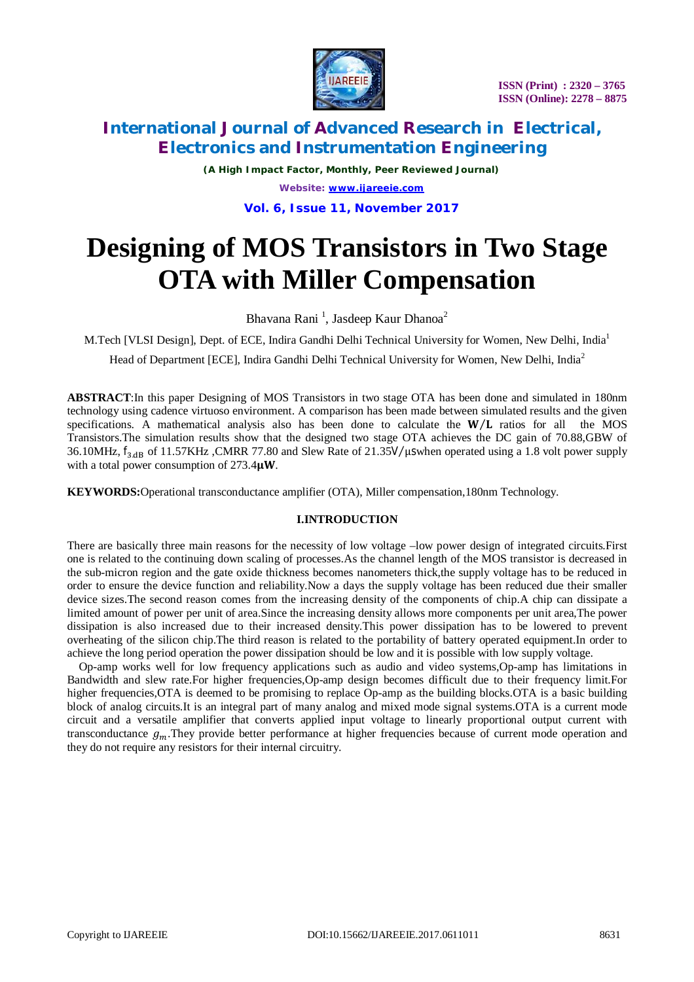

 **ISSN (Print) : 2320 – 3765 ISSN (Online): 2278 – 8875**

# **International Journal of Advanced Research in Electrical, Electronics and Instrumentation Engineering**

*(A High Impact Factor, Monthly, Peer Reviewed Journal) Website: [www.ijareeie.com](http://www.ijareeie.com)* **Vol. 6, Issue 11, November 2017**

# **Designing of MOS Transistors in Two Stage OTA with Miller Compensation**

Bhavana Rani<sup>1</sup>, Jasdeep Kaur Dhanoa<sup>2</sup>

M.Tech [VLSI Design], Dept. of ECE, Indira Gandhi Delhi Technical University for Women, New Delhi, India<sup>1</sup>

Head of Department [ECE], Indira Gandhi Delhi Technical University for Women, New Delhi, India<sup>2</sup>

**ABSTRACT**:In this paper Designing of MOS Transistors in two stage OTA has been done and simulated in 180nm technology using cadence virtuoso environment. A comparison has been made between simulated results and the given specifications. A mathematical analysis also has been done to calculate the  $W/L$  ratios for all the MOS Transistors.The simulation results show that the designed two stage OTA achieves the DC gain of 70.88,GBW of 36.10MHz,  $f_{3,dB}$  of 11.57KHz ,CMRR 77.80 and Slew Rate of 21.35V/ $\mu$ swhen operated using a 1.8 volt power supply with a total power consumption of 273.4μW.

**KEYWORDS:**Operational transconductance amplifier (OTA), Miller compensation,180nm Technology.

### **I.INTRODUCTION**

There are basically three main reasons for the necessity of low voltage –low power design of integrated circuits.First one is related to the continuing down scaling of processes.As the channel length of the MOS transistor is decreased in the sub-micron region and the gate oxide thickness becomes nanometers thick,the supply voltage has to be reduced in order to ensure the device function and reliability.Now a days the supply voltage has been reduced due their smaller device sizes.The second reason comes from the increasing density of the components of chip.A chip can dissipate a limited amount of power per unit of area.Since the increasing density allows more components per unit area,The power dissipation is also increased due to their increased density.This power dissipation has to be lowered to prevent overheating of the silicon chip.The third reason is related to the portability of battery operated equipment.In order to achieve the long period operation the power dissipation should be low and it is possible with low supply voltage.

Op-amp works well for low frequency applications such as audio and video systems,Op-amp has limitations in Bandwidth and slew rate.For higher frequencies,Op-amp design becomes difficult due to their frequency limit.For higher frequencies, OTA is deemed to be promising to replace Op-amp as the building blocks. OTA is a basic building block of analog circuits.It is an integral part of many analog and mixed mode signal systems.OTA is a current mode circuit and a versatile amplifier that converts applied input voltage to linearly proportional output current with transconductance  $g_m$ . They provide better performance at higher frequencies because of current mode operation and they do not require any resistors for their internal circuitry.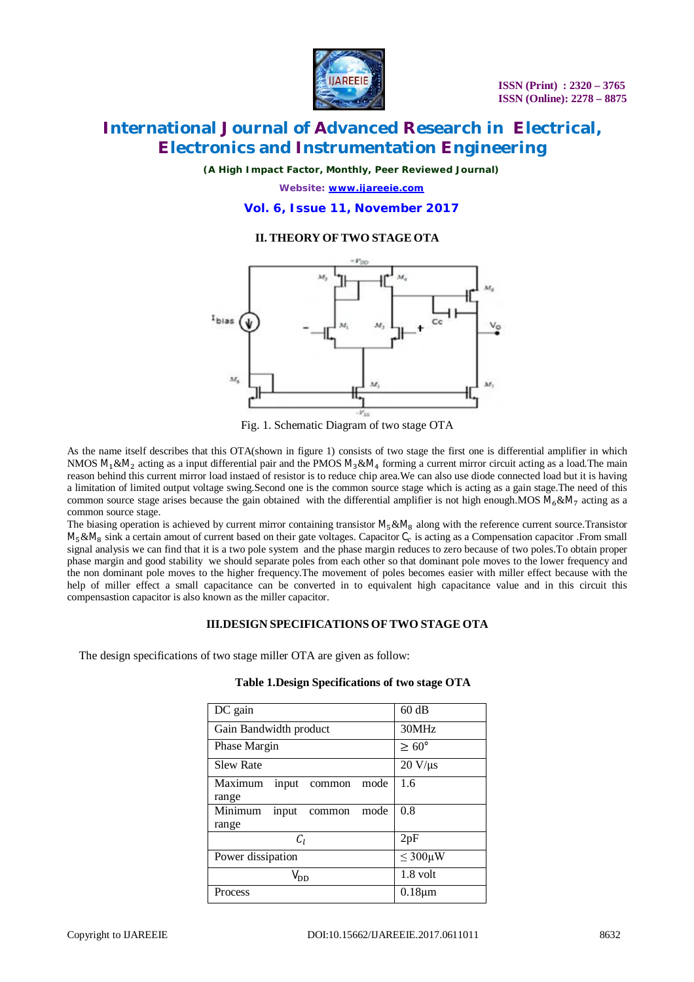

*(A High Impact Factor, Monthly, Peer Reviewed Journal)*

*Website: [www.ijareeie.com](http://www.ijareeie.com)*

**Vol. 6, Issue 11, November 2017**

### **II. THEORY OF TWO STAGE OTA**



Fig. 1. Schematic Diagram of two stage OTA

As the name itself describes that this OTA(shown in figure 1) consists of two stage the first one is differential amplifier in which NMOS  $M_1$ & $M_2$  acting as a input differential pair and the PMOS  $M_3$ & $M_4$  forming a current mirror circuit acting as a load. The main reason behind this current mirror load instaed of resistor is to reduce chip area.We can also use diode connected load but it is having a limitation of limited output voltage swing.Second one is the common source stage which is acting as a gain stage.The need of this common source stage arises because the gain obtained with the differential amplifier is not high enough.MOS  $M_6 \& M_7$  acting as a common source stage.

The biasing operation is achieved by current mirror containing transistor  $M_5 \& M_8$  along with the reference current source.Transistor  $M_5\&M_8$  sink a certain amout of current based on their gate voltages. Capacitor  $C_c$  is acting as a Compensation capacitor .From small signal analysis we can find that it is a two pole system and the phase margin reduces to zero because of two poles.To obtain proper phase margin and good stability we should separate poles from each other so that dominant pole moves to the lower frequency and the non dominant pole moves to the higher frequency.The movement of poles becomes easier with miller effect because with the help of miller effect a small capacitance can be converted in to equivalent high capacitance value and in this circuit this compensastion capacitor is also known as the miller capacitor.

### **III.DESIGN SPECIFICATIONS OF TWO STAGE OTA**

The design specifications of two stage miller OTA are given as follow:

| DC gain                                     | 60 dB             |  |
|---------------------------------------------|-------------------|--|
| Gain Bandwidth product                      | 30MHz             |  |
| Phase Margin                                | $\geq 60^{\circ}$ |  |
| <b>Slew Rate</b>                            | $20 V/\mu s$      |  |
| Maximum<br>mode<br>input<br>common<br>range | 1.6               |  |
| Minimum<br>mode<br>input<br>common<br>range | 0.8               |  |
| $C_I$                                       | 2pF               |  |
| Power dissipation                           | $\leq 300 \mu W$  |  |
| $V_{DD}$                                    | 1.8 volt          |  |
| Process                                     | $0.18 \mu m$      |  |

### **Table 1.Design Specifications of two stage OTA**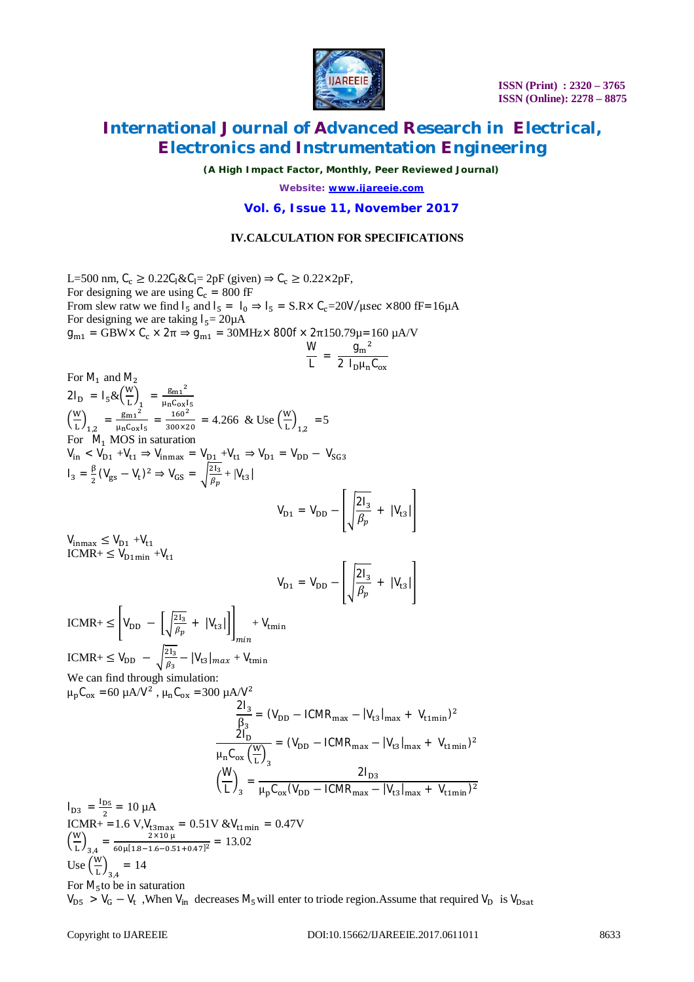

*(A High Impact Factor, Monthly, Peer Reviewed Journal)*

*Website: [www.ijareeie.com](http://www.ijareeie.com)*

**Vol. 6, Issue 11, November 2017**

### **IV.CALCULATION FOR SPECIFICATIONS**

L=500 nm,  $C_c \ge 0.22C_1 \& C_1 = 2pF$  (given)  $\Rightarrow C_c \ge 0.22 \times 2pF$ , For designing we are using  $C_c = 800$  fF From slew ratw we find  $I_5$  and  $I_5 = I_0 \Rightarrow I_5 = S.R \times C_c = 20V/\mu \text{sec} \times 800 \text{ fF} = 16 \mu \text{A}$ For designing we are taking  $I_5 = 20\mu A$  $g_{m1} = GBW \times C_c \times 2\pi \Rightarrow g_{m1} = 30 MHz \times 800f \times 2\pi 150.79μ = 160 μA/V$ W  $9<sub>m</sub><sup>2</sup>$ 

$$
\frac{\mathbf{v}}{\mathbf{L}} = \frac{9\,\mathrm{m}}{2\,\mathrm{I}_{\mathrm{D}}\mu_{\mathrm{n}}\mathrm{C}_{\mathrm{ox}}}
$$

For M<sub>1</sub> and M<sub>2</sub>  
\n
$$
2I_{D} = I_{5} & \left(\frac{W}{L}\right)_{1} = \frac{g_{m1}z^{2}}{\mu_{B}C_{ox}I_{5}} = \frac{160^{2}}{300 \times 20} = 4.266 \& \text{Use} \left(\frac{W}{L}\right)_{1,2} = 5
$$
\nFor M<sub>1</sub> MOS in saturation  
\n
$$
V_{In} < V_{D1} + V_{U1} \Rightarrow V_{Inmax} = V_{D1} + V_{U1} \Rightarrow V_{D1} = V_{DD} - V_{SG3}
$$
\n
$$
I_{3} = \frac{\beta}{2} (V_{gs} - V_{U})^{2} \Rightarrow V_{GS} = \sqrt{\frac{2I_{3}}{\beta_{p}}} + |V_{US}|
$$
\n
$$
V_{D1} = V_{DD} - \left[\sqrt{\frac{2I_{3}}{\beta_{p}}} + |V_{US}|\right]
$$
\n
$$
V_{Inmax} \le V_{D1} + V_{U1}
$$
\nICMR+  $\le V_{D1}$  in + V<sub>U1</sub>  
\nICMR+  $\le V_{DD} - \sqrt{\frac{2I_{3}}{\beta_{s}}} - |V_{US}|_{min} + V_{min}$   
\n
$$
V_{D1} = V_{DD} - \left[\sqrt{\frac{2I_{3}}{\beta_{p}}} + |V_{US}|\right]
$$
\n
$$
ICMR + \le V_{DD} - \sqrt{\frac{2I_{3}}{\beta_{s}}} - |V_{US}|_{min} + V_{min}
$$
\n
$$
W_{E} can find through simulation:\n
$$
\mu_{p}C_{ox} = 60 \mu A/V^{2}, \mu_{n}C_{ox} = 300 \mu A/V^{2}
$$
\n
$$
\frac{2I_{3}}{\beta_{3}} = (V_{DD} - ICMR_{max} - |V_{US}|_{max} + V_{t,min})^{2}
$$
\n
$$
V_{D2} = \frac{2I_{DD}}{\mu_{p}C_{ox}(V_{DD} - ICMR_{max} - |V_{US}|_{max} + V_{t,min})^{2}}
$$
\n
$$
V_{D3} = \frac{I_{DS}}{\mu_{p}C_{ox}(V_{min} - 3.051 \text{ V} \& V_{t,min} = 0.47 \text{ V}
$$
$$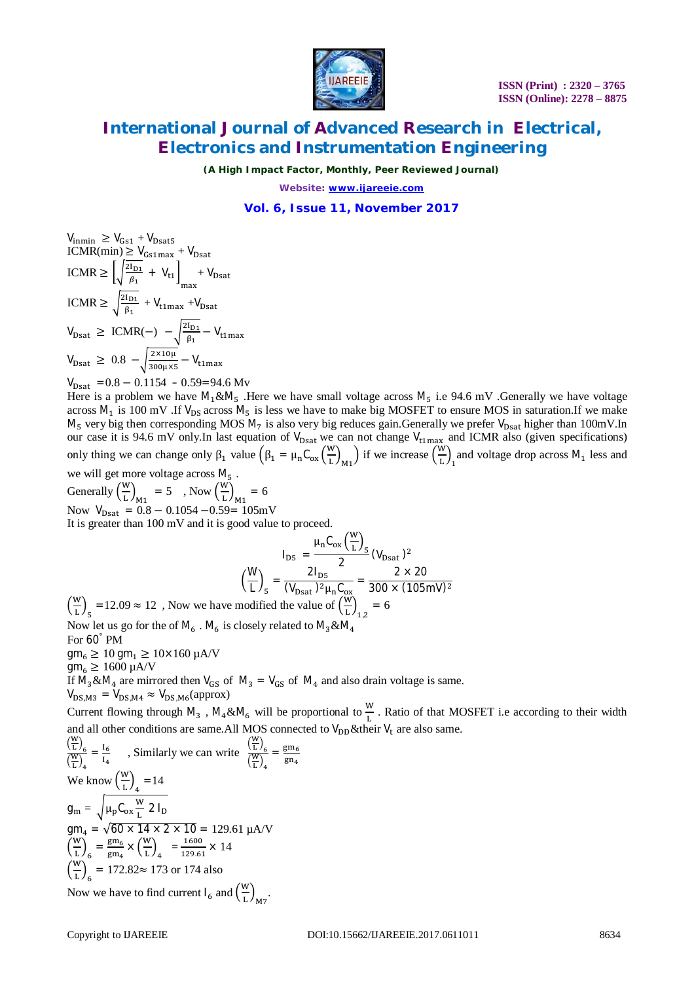

*(A High Impact Factor, Monthly, Peer Reviewed Journal)*

*Website: [www.ijareeie.com](http://www.ijareeie.com)*

### **Vol. 6, Issue 11, November 2017**

$$
V_{\text{inmin}} \ge V_{\text{Gs1}} + V_{\text{Dsat5}}
$$
  
ICMR(min)  $\ge V_{\text{Gs1max}} + V_{\text{Dsat}}$   
ICMR  $\ge \left[ \sqrt{\frac{2I_{\text{D1}}}{\beta_1}} + V_{\text{t1}} \right]_{\text{max}} + V_{\text{Dsat}}$   
ICMR  $\ge \sqrt{\frac{2I_{\text{D1}}}{\beta_1}} + V_{\text{t1max}} + V_{\text{Dsat}}$   
 $V_{\text{Dsat}} \ge \text{ICMR}(-) - \sqrt{\frac{2I_{\text{D1}}}{\beta_1}} - V_{\text{t1max}}$   
 $V_{\text{Dsat}} \ge 0.8 - \sqrt{\frac{2 \times 10\mu}{300\mu \times 5}} - V_{\text{t1max}}$   
 $V_{\text{Dsat}} = 0.8 - 0.1154 - 0.59 = 94.6 \text{ Mv}$ 

Here is a problem we have  $M_1 \& M_5$ . Here we have small voltage across  $M_5$  i.e 94.6 mV . Generally we have voltage across  $M_1$  is 100 mV .If  $V_{DS}$  across  $M_5$  is less we have to make big MOSFET to ensure MOS in saturation.If we make  $M_5$  very big then corresponding MOS  $M_7$  is also very big reduces gain.Generally we prefer  $V_{\text{Dsat}}$  higher than 100mV.In our case it is 94.6 mV only.In last equation of  $V_{\text{Dsat}}$  we can not change  $V_{\text{t1max}}$  and ICMR also (given specifications) only thing we can change only  $\beta_1$  value  $(\beta_1 = \mu_n C_{ox}(\frac{w}{l})$  $\binom{w}{L}_{M1}$  if we increase  $\left(\frac{w}{L}\right)$  $\frac{dv}{dt}$  and voltage drop across M<sub>1</sub> less and

 $\mathbf{z}$ 

we will get more voltage across  $M_5$ . Generally  $\left(\frac{W}{I}\right)$  $\binom{w}{L}_{M1}$  = 5, Now  $\binom{w}{L}$  $\frac{dV}{dL}\bigg|_{M1} = 6$ 

Now  $V_{\text{Dsat}} = 0.8 - 0.1054 - 0.59 = 105 \text{mV}$ 

It is greater than 100 mV and it is good value to proceed.

$$
I_{DS} = \frac{\mu_{n} C_{ox} \left(\frac{w}{L}\right)_{5}}{2} (V_{Dsat})^{2}
$$

$$
\left(\frac{W}{L}\right)_{5} = \frac{2 I_{DS}}{(V_{Dsat})^{2} \mu_{n} C_{ox}} = \frac{2 \times 20}{300 \times (105 \text{mV})^{2}}
$$
  
*v* we have modified the value of  $\left(\frac{w}{L}\right) = 6$ 

 $\left(\frac{W}{r}\right)$  $\frac{dv}{dt}$ <sub>5</sub> = 12.09  $\approx$  12, Now we have modified the value of  $\left(\frac{dv}{dt}\right)$  $\frac{1}{L}\big)_{1,2}$ Now let us go for the of  $\mathsf{M} _6$  .  $\mathsf{M} _6$  is closely related to  $\mathsf{M} _3 \& \mathsf{M} _4$ For 60° PM

 $gm_6 \ge 10$  gm<sub>1</sub>  $\ge 10 \times 160$   $\mu$ A/V

 $gm_6 \ge 1600 \mu A/V$ 

If  $M_3 \& M_4$  are mirrored then  $V_{GS}$  of  $M_3 = V_{GS}$  of  $M_4$  and also drain voltage is same.

 $V_{DS,M3} = V_{DS,M4} \approx V_{DS,M6}$ (approx)

Current flowing through  $M_3$ ,  $M_4 \& M_6$  will be proportional to  $\frac{W}{L}$ . Ratio of that MOSFET i.e according to their width and all other conditions are same. All MOS connected to  $V_{DD}$ &their  $V_t$  are also same.

$$
\frac{\left(\frac{W}{L}\right)_{6}}{\left(\frac{W}{L}\right)_{4}} = \frac{I_{6}}{I_{4}}
$$
, Similarly we can write 
$$
\frac{\left(\frac{W}{L}\right)_{6}}{\left(\frac{W}{L}\right)_{4}} = \frac{gm_{6}}{gn_{4}}
$$
  
We know 
$$
\left(\frac{W}{L}\right)_{4} = 14
$$

$$
g_{m} = \sqrt{\mu_{p}C_{ox}\frac{W}{L}2 I_{D}}
$$

$$
gm_{4} = \sqrt{60 \times 14 \times 2 \times 10} = 129.61 \mu A/V
$$

$$
\left(\frac{W}{L}\right)_{6} = \frac{gm_{6}}{gm_{4}} \times \left(\frac{W}{L}\right)_{4} = \frac{1600}{129.61} \times 14
$$

$$
\left(\frac{W}{L}\right)_{6} = 172.82 \approx 173 \text{ or } 174 \text{ also}
$$
Now we have to find current 1 and 
$$
\left(\frac{W}{L}\right)
$$

Now we have to find current  $I_6$  and  $\left(\frac{W}{I_1}\right)$  $\frac{1}{L}\big)_{M7}.$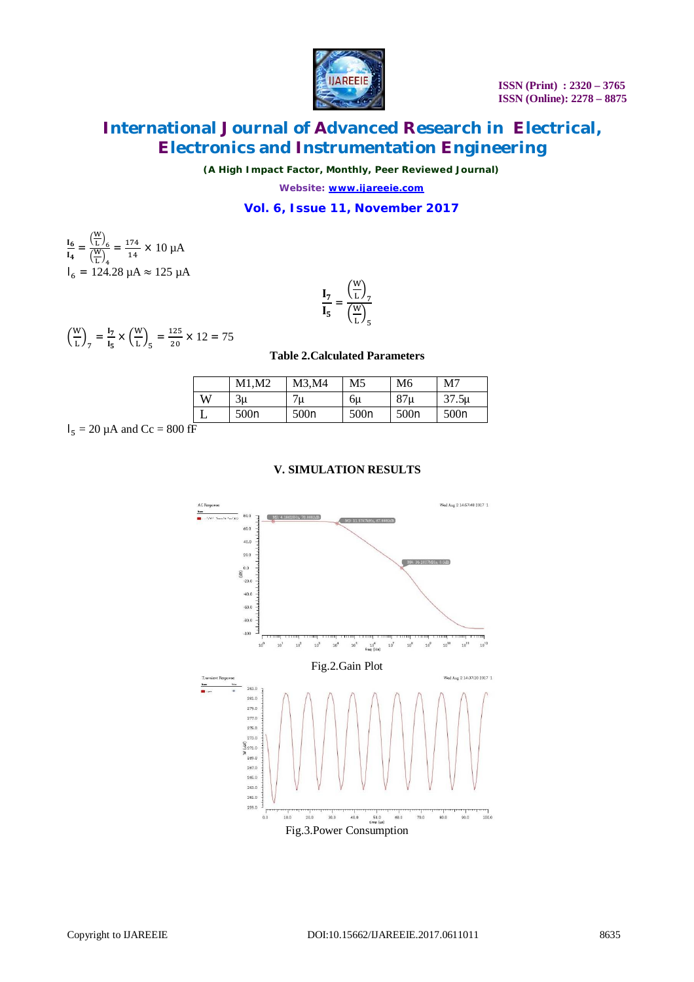

 **ISSN (Print) : 2320 – 3765 ISSN (Online): 2278 – 8875**

# **International Journal of Advanced Research in Electrical, Electronics and Instrumentation Engineering**

*(A High Impact Factor, Monthly, Peer Reviewed Journal)*

*Website: [www.ijareeie.com](http://www.ijareeie.com)*

### **Vol. 6, Issue 11, November 2017**

$$
\frac{I_6}{I_4} = \frac{\left(\frac{W}{L}\right)_6}{\left(\frac{W}{L}\right)_4} = \frac{174}{14} \times 10 \, \mu\text{A}
$$
\n
$$
I_6 = 124.28 \, \mu\text{A} \approx 125 \, \mu\text{A}
$$

$$
\frac{\mathbf{I}_7}{\mathbf{I}_5} = \frac{\left(\frac{W}{L}\right)_7}{\left(\frac{W}{L}\right)_5}
$$

$$
\left(\frac{W}{L}\right)_7 = \frac{I_7}{I_5} \times \left(\frac{W}{L}\right)_5 = \frac{125}{20} \times 12 = 75
$$

#### **Table 2.Calculated Parameters**

|   | М2<br>M1. | M3,M4 | M5   | M <sub>6</sub>  | M7                |
|---|-----------|-------|------|-----------------|-------------------|
| W | 3u        | ′u    | 6u   | 87 <sub>u</sub> | 37.5 <sub>µ</sub> |
|   | 500n      | 500n  | 500n | 500n            | 500n              |

$$
I_5 = 20 \mu A \text{ and } Cc = 800 \text{ fF}
$$

### **V. SIMULATION RESULTS**

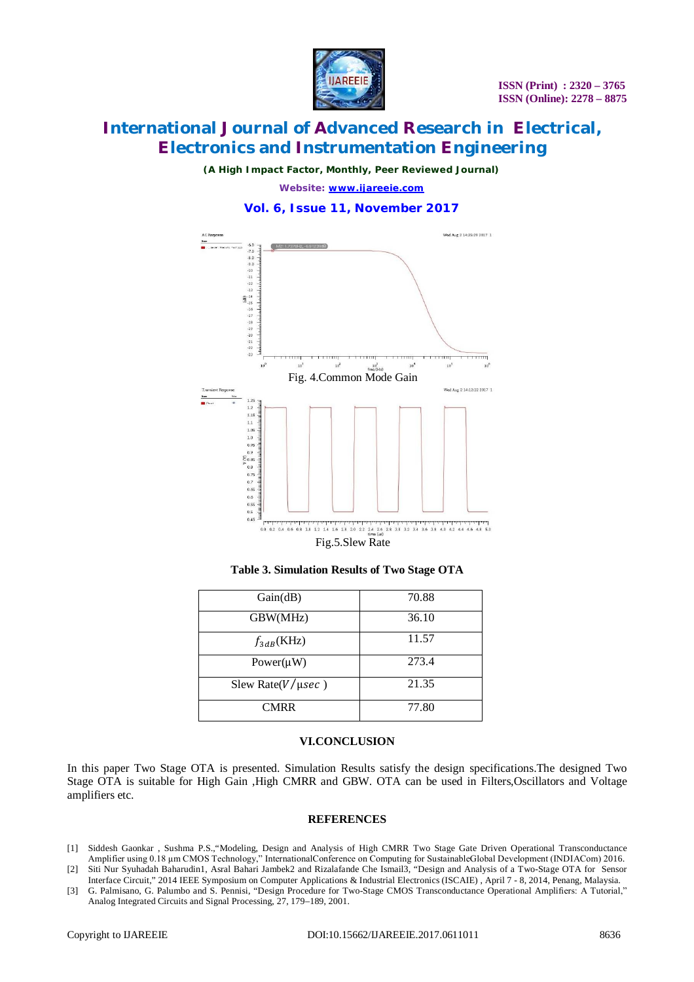

*(A High Impact Factor, Monthly, Peer Reviewed Journal)*

*Website: [www.ijareeie.com](http://www.ijareeie.com)*

### **Vol. 6, Issue 11, November 2017**



**Table 3. Simulation Results of Two Stage OTA**

| Gain(dB)                 | 70.88 |
|--------------------------|-------|
| GBW(MHz)                 | 36.10 |
| $f_{3dB}$ (KHz)          | 11.57 |
| Power( $\mu$ W)          | 273.4 |
| Slew Rate( $V/\mu sec$ ) | 21.35 |
| <b>CMRR</b>              | 77.80 |

### **VI.CONCLUSION**

In this paper Two Stage OTA is presented. Simulation Results satisfy the design specifications.The designed Two Stage OTA is suitable for High Gain ,High CMRR and GBW. OTA can be used in Filters,Oscillators and Voltage amplifiers etc.

### **REFERENCES**

- [1] Siddesh Gaonkar , Sushma P.S.,"Modeling, Design and Analysis of High CMRR Two Stage Gate Driven Operational Transconductance Amplifier using 0.18 μm CMOS Technology," InternationalConference on Computing for SustainableGlobal Development (INDIACom) 2016.
- [2] Siti Nur Syuhadah Baharudin1, Asral Bahari Jambek2 and Rizalafande Che Ismail3, "Design and Analysis of a Two-Stage OTA for Sensor Interface Circuit," 2014 IEEE Symposium on Computer Applications & Industrial Electronics (ISCAIE) , April 7 - 8, 2014, Penang, Malaysia. [3] G. Palmisano, G. Palumbo and S. Pennisi, "Design Procedure for Two-Stage CMOS Transconductance Operational Amplifiers: A Tutorial,"
- Analog Integrated Circuits and Signal Processing, 27, 179–189, 2001.